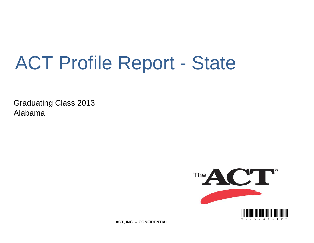# ACT Profile Report - State

Graduating Class 2013 Alabama



**ACT, INC. -- CONFIDENTIAL**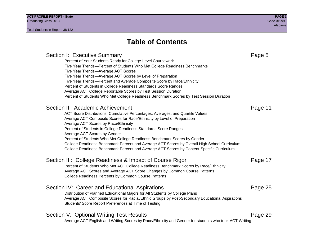## **Table of Contents**

Section I: Executive Summary **Page 5** and the section I: Executive Summary Percent of Your Students Ready for College-Level Coursework Five Year Trends—Percent of Students Who Met College Readiness Benchmarks Five Year Trends—Average ACT Scores Five Year Trends—Average ACT Scores by Level of Preparation Five Year Trends—Percent and Average Composite Score by Race/Ethnicity Percent of Students in College Readiness Standards Score Ranges Average ACT College Reportable Scores by Test Session Duration Percent of Students Who Met College Readiness Benchmark Scores by Test Session Duration Section II: Academic Achievement **Page 11** Page 11 ACT Score Distributions, Cumulative Percentages, Averages, and Quartile Values Average ACT Composite Scores for Race/Ethnicity by Level of Preparation Average ACT Scores by Race/Ethnicity Percent of Students in College Readiness Standards Score Ranges Average ACT Scores by Gender Percent of Students Who Met College Readiness Benchmark Scores by Gender College Readiness Benchmark Percent and Average ACT Scores by Overall High School Curriculum College Readiness Benchmark Percent and Average ACT Scores by Content-Specific Curriculum Section III: College Readiness & Impact of Course Rigor Page 17 Percent of Students Who Met ACT College Readiness Benchmark Scores by Race/Ethnicity Average ACT Scores and Average ACT Score Changes by Common Course Patterns College Readiness Percents by Common Course Patterns Section IV: Career and Educational Aspirations **Page 25** Page 25 Distribution of Planned Educational Majors for All Students by College Plans Average ACT Composite Scores for Racial/Ethnic Groups by Post-Secondary Educational Aspirations Students' Score Report Preferences at Time of Testing Section V: Optional Writing Test Results **Page 29** Page 29 Average ACT English and Writing Scores by Race/Ethnicity and Gender for students who took ACT Writing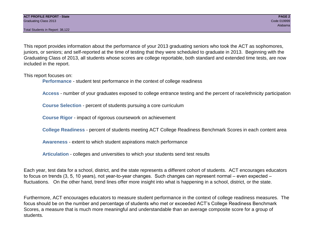Total Students in Report: 38,122

This report provides information about the performance of your 2013 graduating seniors who took the ACT as sophomores, juniors, or seniors; and self-reported at the time of testing that they were scheduled to graduate in 2013. Beginning with the Graduating Class of 2013, all students whose scores are college reportable, both standard and extended time tests, are now included in the report.

This report focuses on:

**Performance** - student test performance in the context of college readiness

**Access** - number of your graduates exposed to college entrance testing and the percent of race/ethnicity participation

**Course Selection** - percent of students pursuing a core curriculum

**Course Rigor** - impact of rigorous coursework on achievement

**College Readiness** - percent of students meeting ACT College Readiness Benchmark Scores in each content area

**Awareness** - extent to which student aspirations match performance

**Articulation** - colleges and universities to which your students send test results

Each year, test data for a school, district, and the state represents a different cohort of students. ACT encourages educators to focus on trends (3, 5, 10 years), not year-to-year changes. Such changes can represent normal – even expected – fluctuations. On the other hand, trend lines offer more insight into what is happening in a school, district, or the state.

Furthermore, ACT encourages educators to measure student performance in the context of college readiness measures. The focus should be on the number and percentage of students who met or exceeded ACT's College Readiness Benchmark Scores, a measure that is much more meaningful and understandable than an average composite score for a group of students.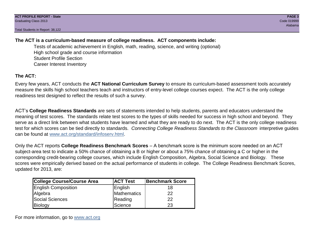Total Students in Report: 38,122

## **The ACT is a curriculum-based measure of college readiness. ACT components include:**

Tests of academic achievement in English, math, reading, science, and writing (optional) High school grade and course information Student Profile Section Career Interest Inventory

## **The ACT:**

Every few years, ACT conducts the **ACT National Curriculum Survey** to ensure its curriculum-based assessment tools accurately measure the skills high school teachers teach and instructors of entry-level college courses expect. The ACT is the only college readiness test designed to reflect the results of such a survey.

ACT's **College Readiness Standards** are sets of statements intended to help students, parents and educators understand the meaning of test scores. The standards relate test scores to the types of skills needed for success in high school and beyond. They serve as a direct link between what students have learned and what they are ready to do next. The ACT is the only college readiness test for which scores can be tied directly to standards. *Connecting College Readiness Standards to the Classroom* interpretive guides can be found at www.act.org/standard/infoserv.html.

Only the ACT reports **College Readiness Benchmark Scores** – A benchmark score is the minimum score needed on an ACT subject-area test to indicate a 50% chance of obtaining a B or higher or about a 75% chance of obtaining a C or higher in the corresponding credit-bearing college courses, which include English Composition, Algebra, Social Science and Biology. These scores were empirically derived based on the actual performance of students in college. The College Readiness Benchmark Scores, updated for 2013, are:

| College Course/Course Area | <b>ACT Test</b> | <b>Benchmark Score</b> |
|----------------------------|-----------------|------------------------|
| <b>English Composition</b> | English         | 18                     |
| Algebra                    | Mathematics     | 22                     |
| <b>Social Sciences</b>     | Reading         | 22                     |
| Biology                    | Science         | 23                     |

For more information, go to www.act.org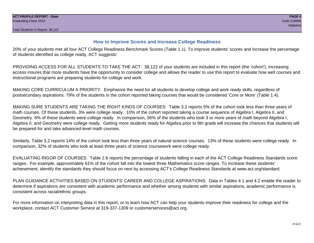### **How to Improve Scores and Increase College Readiness**

20% of your students met all four ACT College Readiness Benchmark Scores (Table 1.1). To improve students' scores and increase the percentage of students identified as college ready, ACT suggests:

PROVIDING ACCESS FOR ALL STUDENTS TO TAKE THE ACT: 38,122 of your students are included in this report (the 'cohort'). Increasing access insures that more students have the opportunity to consider college and allows the reader to use this report to evaluate how well courses and instructional programs are preparing students for college and work.

MAKING CORE CURRICULUM A PRIORITY: Emphasize the need for all students to develop college and work ready skills, regardless of postsecondary aspirations. 79% of the students in the cohort reported taking courses that would be considered 'Core or More' (Table 1.4).

MAKING SURE STUDENTS ARE TAKING THE RIGHT KINDS OF COURSES: Table 3.2 reports 5% of the cohort took less than three years of math courses. Of these students, 3% were college ready. 10% of the cohort reported taking a course sequence of Algebra I, Algebra II, and Geometry. 6% of these students were college ready. In comparison, 36% of the students who took 3 or more years of math beyond Algebra I, Algebra II, and Geometry were college ready. Getting more students ready for Algebra prior to 9th grade will increase the chances that students will be prepared for and take advanced-level math courses.

Similarly, Table 3.2 reports 14% of the cohort took less than three years of natural science courses. 13% of these students were college ready. In comparison, 32% of students who took at least three years of science coursework were college ready.

EVALUATING RIGOR OF COURSES: Table 2.6 reports the percentage of students falling in each of the ACT College Readiness Standards score ranges. For example, approximately 61% of the cohort fall into the lowest three Mathematics score ranges. To increase these students' achievement, identify the standards they should focus on next by accessing ACT's College Readiness Standards at www.act.org/standard.

PLAN GUIDANCE ACTIVITIES BASED ON STUDENTS' CAREER AND COLLEGE ASPIRATIONS: Data in Tables 4.1 and 4.2 enable the reader to determine if aspirations are consistent with academic performance and whether among students with similar aspirations, academic performance is consistent across racial/ethnic groups.

For more information on interpreting data in this report, or to learn how ACT can help your students improve their readiness for college and the workplace, contact ACT Customer Service at 319-337-1309 or customerservices@act.org.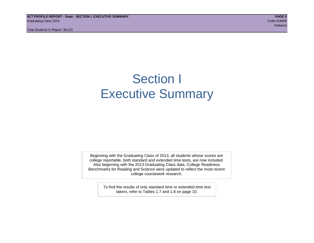**ACT PROFILE REPORT - State: SECTION I, EXECUTIVE SUMMARY PAGE 5** Graduating Class 2013 Code 019999

Total Students in Report: 38,122

Alabama

## Section I Executive Summary

Beginning with the Graduating Class of 2013, all students whose scores are college reportable, both standard and extended time tests, are now included. Also beginning with the 2013 Graduating Class data, College Readiness Benchmarks for Reading and Science were updated to reflect the most recent college coursework research.

> To find the results of only standard time or extended time test takers, refer to Tables 1.7 and 1.8 on page 10.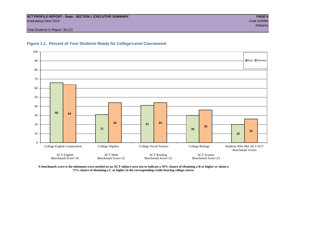#### **ACT PROFILE REPORT - State: SECTION I, EXECUTIVE SUMMARY PAGE 6** Graduating Class 2013 Code 019999

Total Students in Report: 38,122





**A benchmark score is the minimum score needed on an ACT subject-area test to indicate a 50% chance of obtaining a B or higher or about a 75% chance of obtaining a C or higher in the corresponding credit-bearing college course.**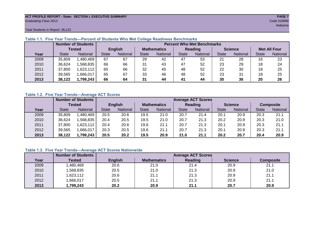#### **ACT PROFILE REPORT - State: SECTION I, EXECUTIVE SUMMARY PAGE 7** Graduating Class 2013 Code 019999

Total Students in Report: 38,122

|      |              | <b>Number of Students</b> | <b>Percent Who Met Benchmarks</b> |          |                    |          |              |          |                |          |                     |          |  |  |
|------|--------------|---------------------------|-----------------------------------|----------|--------------------|----------|--------------|----------|----------------|----------|---------------------|----------|--|--|
|      |              | Tested                    | <b>English</b>                    |          | <b>Mathematics</b> |          | Reading      |          | <b>Science</b> |          | <b>Met All Four</b> |          |  |  |
| Year | <b>State</b> | <b>National</b>           | <b>State</b>                      | National |                    | National | <b>State</b> | National |                | National | <b>State</b>        | National |  |  |
| 2009 | 35,809       | 1,480,469                 | 67                                | 67       | 29                 | 42       | 47           | 53       | 21             | 28       | 16                  | 23       |  |  |
| 2010 | 36,624       | .568.835                  | 66                                | 66       | 31                 | 43       | 47           | 52       | 23             | 29       | 18                  | 24       |  |  |
| 2011 | 37,800       | 1,623,112                 | 65                                | 66       | 32                 | 45       | 48           | 52       | 22             | 30       | 18                  | 25       |  |  |
| 2012 | 39,565       | 1,666,017                 | 65                                | 67       | 33                 | 46       | 48           | 52       | 23             | 31       | 18                  | 25       |  |  |
| 2013 | 38.122       | 1,799,243                 | 66                                | 64       | 31                 | 44       | 41           | 44       | 30             | 36       | 20                  | 26       |  |  |

#### **Table 1.1. Five Year Trends—Percent of Students Who Met College Readiness Benchmarks**

#### **Table 1.2. Five Year Trends—Average ACT Scores**

|      |              | <b>Number of Students</b> | <b>Average ACT Scores</b> |                |      |                    |              |                 |              |                |              |                  |  |  |
|------|--------------|---------------------------|---------------------------|----------------|------|--------------------|--------------|-----------------|--------------|----------------|--------------|------------------|--|--|
|      |              | Tested                    |                           | <b>English</b> |      | <b>Mathematics</b> |              | <b>Reading</b>  |              | <b>Science</b> |              | <b>Composite</b> |  |  |
| Year | <b>State</b> | <b>National</b>           | <b>State</b>              | National       |      | National           | <b>State</b> | <b>National</b> | <b>State</b> | National       | <b>State</b> | National         |  |  |
| 2009 | 35,809       | .480,469                  | 20.5                      | 20.6           | 19.5 | 21.0               | 20.7         | 21.4            | 20.1         | 20.9           | 20.3         | 21.1             |  |  |
| 2010 | 36,624       | .568.835                  | 20.4                      | 20.5           | 19.5 | 21.0               | 20.7         | 21.3            | 20.2         | 20.9           | 20.3         | 21.0             |  |  |
| 2011 | 37,800       | .623,112                  | 20.4                      | 20.6           | 19.6 | 21.1               | 20.7         | 21.3            | 20.1         | 20.9           | 20.3         | 21.1             |  |  |
| 2012 | 39,565       | ,666,017                  | 20.3                      | 20.5           | 19.6 | 21.1               | 20.7         | 21.3            | 20.1         | 20.9           | 20.3         | 21.1             |  |  |
| 2013 | 38,122       | ,799,243                  | 20.5                      | 20.2           | 19.5 | 20.9               | 21.0         | 21.1            | 20.2         | 20.7           | 20.4         | 20.9             |  |  |

### **Table 1.3. Five Year Trends—Average ACT Scores Nationwide**

|      | <b>Number of Students</b> |                | <b>Average ACT Scores</b> |                |                |                  |  |  |  |  |  |  |
|------|---------------------------|----------------|---------------------------|----------------|----------------|------------------|--|--|--|--|--|--|
| Year | Tested                    | <b>English</b> | <b>Mathematics</b>        | <b>Reading</b> | <b>Science</b> | <b>Composite</b> |  |  |  |  |  |  |
| 2009 | ,480,469                  | 20.6           | 21.0                      | 21.4           | 20.9           | 21.1             |  |  |  |  |  |  |
| 2010 | ,568,835                  | 20.5           | 21.0                      | 21.3           | 20.9           | 21.0             |  |  |  |  |  |  |
| 2011 | ,623,112                  | 20.6           | 21.1                      | 21.3           | 20.9           | 21.1             |  |  |  |  |  |  |
| 2012 | ,666,017                  | 20.5           | 21.1                      | 21.3           | 20.9           | 21.1             |  |  |  |  |  |  |
| 2013 | ,799,243                  | 20.2           | 20.9                      | 21.1           | 20.7           | 20.9             |  |  |  |  |  |  |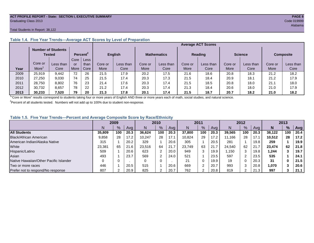#### **ACT PROFILE REPORT - State: SECTION I, EXECUTIVE SUMMARY PAGE 8** Graduating Class 2013 Code 019999

#### Total Students in Report: 38,122

|      |         |                                            |      |                      |             |                |         |                    | <b>Average ACT Scores</b> |                |                |           |                  |           |
|------|---------|--------------------------------------------|------|----------------------|-------------|----------------|---------|--------------------|---------------------------|----------------|----------------|-----------|------------------|-----------|
|      |         | <b>Number of Students</b><br><b>Tested</b> |      | Percent <sup>2</sup> |             | <b>English</b> |         | <b>Mathematics</b> |                           | <b>Reading</b> | <b>Science</b> |           | <b>Composite</b> |           |
|      |         |                                            | Core | Less                 |             |                |         |                    |                           |                |                |           |                  |           |
|      | Core or | Less than                                  | or   | than                 | Core or     | Less than      | Core or | Less than          | Core or                   | Less than      | Core or        | Less than | Core or          | Less than |
| Year | More    | Core                                       | More | Core                 | <b>More</b> | Core           | More    | Core               | More                      | Core           | More           | Core      | More             | Core      |
| 2009 | 25.919  | 9.442                                      | 72   | 26                   | 21.5        | 17.9           | 20.2    | 17.5               | 21.6                      | 18.6           | 20.8           | 18.3      | 21.2             | 18.2      |
| 2010 | 27.250  | 9,030                                      | 74   | 25                   | 21.5        | 17.4           | 20.3    | 17.3               | 21.5                      | 18.4           | 20.9           | 18.1      | 21.2             | 17.9      |
| 2011 | 28,750  | 8,802                                      | 76   | 23                   | 21.4        | 17.6           | 20.3    | 17.4               | 21.5                      | 18.5           | 20.8           | 18.0      | 21.1             | 18.0      |
| 2012 | 30.732  | 8.657                                      | 78   | 22                   | 21.2        | 17.4           | 20.3    | 17.4               | 21.3                      | 18.4           | 20.6           | 18.0      | 21.0             | 17.9      |
| 2013 | 30.233  | 7,520                                      | 79   | 20                   | 21.3        | 17.8           | 20.1    | 17.4               | 21.5                      | 18.7           | 20.7           | 18.2      | 21.0             | 18.2      |

### **Table 1.4. Five Year Trends—Average ACT Scores by Level of Preparation**

<sup>1</sup>"Core or More" results correspond to students taking four or more years of English AND three or more years each of math, social studies, and natural science.

 $2$ Percent of all students tested. Numbers will not add up to 100% due to student non-response.

#### **Table 1.5. Five Year Trends—Percent and Average Composite Score by Race/Ethnicity**

|                                        |        | 2009 |      |        | 2010          |      | 2011   |     |      | 2012   |     |      | 2013   |     |            |
|----------------------------------------|--------|------|------|--------|---------------|------|--------|-----|------|--------|-----|------|--------|-----|------------|
|                                        | N      | %    | Avg  | N      | $\frac{9}{6}$ | Avg  | N      | %   | Avg  | Ν      | %   | Ava  | N      | %   | <b>Avg</b> |
| <b>All Students</b>                    | 35,809 | 100  | 20.3 | 36.624 | 100           | 20.3 | 37,800 | 100 | 20.3 | 39.565 | 100 | 20.3 | 38.122 | 100 | 20.4       |
| Black/African American                 | 9,858  | 28   | 17.2 | 10,247 | 28            | 17.1 | 10.824 | 29  | 17.2 | 11.166 | 28  | 17.1 | 10.512 | 28  | 17.2       |
| American Indian/Alaska Native          | 315    |      | 20.2 | 329    |               | 20.6 | 305    |     | 20.5 | 281    |     | 19.8 | 259    |     | 19.9       |
| White                                  | 23,381 | 65   | 21.6 | 23.516 | 64            | 21.7 | 23.749 | 63  | 21.7 | 24.540 | 62  | 21.7 | 23.474 | 62  | 21.8       |
| Hispanic/Latino                        | 509    |      | 20.6 | 623    |               | 20.0 | 949    | 3   | 19.9 | .150   | 3   | 19.8 | 1.244  |     | 19.7       |
| Asian                                  | 493    |      | 23.7 | 569    | ⌒             | 24.0 | 521    |     | 23.5 | 597    | າ   | 23.5 | 535    |     | 24.1       |
| Native Hawaiian/Other Pacific Islander |        |      |      |        | $\Omega$      |      | 21     | 0   | 19.9 | 19     | 0   | 20.3 | 31     | 0   | 21.5       |
| Two or more races                      | 446    |      | 20.5 | 515    |               | 20.6 | 669    | ◠   | 20.7 | 993    | 3   | 20.8 | 1,070  |     | 20.6       |
| Prefer not to respond/No response      | 807    |      | 20.9 | 825    | $\sqrt{2}$    | 20.7 | 762    |     | 20.8 | 819    | ົ   | 21.3 | 997    |     | 21.1       |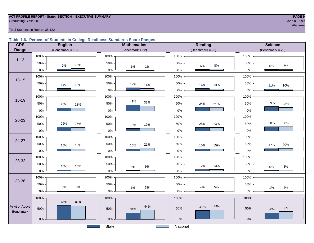#### **ACT PROFILE REPORT - State: SECTION I, EXECUTIVE SUMMARY PAGE 9** Code 019999 Craduating Class 2013 Code 019999

## ang pangalang pangalang pangalang pangalang pangalang pangalang pangalang pangalang pangalang pangalang pangal

#### Total Students in Report: 38,122

#### **Table 1.6. Percent of Students in College Readiness Standards Score Ranges**

| <b>CRS</b>    | <b>English</b>        | <b>Mathematics</b>                        | <b>Reading</b>     | <b>Science</b>        |
|---------------|-----------------------|-------------------------------------------|--------------------|-----------------------|
| Range         | (Benchmark = $18$ )   | (Benchmark = $22$ )                       | $(Benchmark = 22)$ | (Benchmark = $23$ )   |
|               | 100%                  | 100%                                      | 100%               | 100%                  |
| $1 - 12$      | 50%<br>13%<br>$9\%$   | 50%<br>$1\%$<br>1%                        | 50%<br>8%<br>6%    | 50%<br>7%<br>6%       |
|               | $0\%$                 | $0\%$                                     | $0\%$              | 0%                    |
| $13 - 15$     | 100%                  | 100%                                      | 100%               | 100%                  |
|               | 50%<br>14%<br>13%     | 50%<br>19%<br>14%                         | 50%<br>14%<br>13%  | 50%<br>11%<br>10%     |
|               | $0\%$                 | $0\%$                                     | $0\%$              | $0\%$                 |
|               | 100%                  | 100%                                      | 100%               | 100%                  |
| $16 - 19$     | 50%<br>20%<br>18%     | 41%<br>33%<br>50%                         | 50%<br>24%<br>21%  | 29%<br>50%<br>23%     |
|               | $0\%$                 | $0\%$                                     | $0\%$              | $0\%$                 |
|               | 100%                  | 100%                                      | 100%               | 100%                  |
| $20 - 23$     | 50%<br>26%<br>25%     | 50%<br>18%<br>19%                         | 50%<br>25%<br>24%  | 30%<br>30%<br>50%     |
|               | $0\%$                 | 0%                                        | $0\%$              | $0\%$                 |
| $24 - 27$     | 100%                  | 100%                                      | 100%               | 100%                  |
|               | 50%<br>16%<br>15%     | 50%<br>21%<br>15%                         | 50%<br>15%<br>15%  | 50%<br>20%<br>17%     |
|               | $0\%$                 | $0\%$                                     | $0\%$              | $0\%$                 |
| 28-32         | 100%                  | 100%                                      | 100%               | 100%                  |
|               | 50%<br>10%<br>10%     | 50%<br>$9\%$<br>5%                        | 50%<br>12%<br>13%  | 50%<br>$8\%$<br>6%    |
|               | $0\%$                 | $0\%$                                     | $0\%$              | $0\%$                 |
| 33-36         | 100%                  | 100%                                      | 100%               | 100%                  |
|               | 50%<br>$5\%$<br>$5\%$ | 50%<br>$3%$<br>1%                         | 50%<br>5%<br>4%    | 50%<br>$2\%$<br>$1\%$ |
|               | $0\%$                 | $0\%$                                     | $0\%$              | $0\%$                 |
|               | 100%                  | 100%                                      | 100%               | 100%                  |
| % At or Above | 66%<br>64%            | 44%                                       | 44%<br>41%         | 36%                   |
| Benchmark     | 50%                   | 50%<br>31%                                | 50%                | 50%<br>30%            |
|               | $0\%$                 | $0\%$                                     | $0\%$              | $0\%$                 |
|               |                       | $\overline{S}$ = State<br><b>Contract</b> | $=$ National       |                       |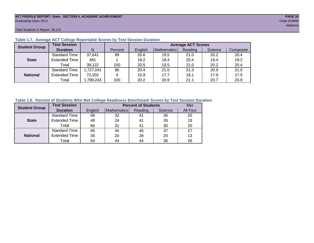#### **ACT PROFILE REPORT- State: SECTION II, ACADEMIC ACHIEVEMENT PAGE 10** Graduating Class 2013 Code 019999

Total Students in Report: 38,122

| <b>Student Group</b> | <b>Test Session</b>  |           |         |         | <b>Average ACT Scores</b> |         |         |           |  |  |  |  |  |  |
|----------------------|----------------------|-----------|---------|---------|---------------------------|---------|---------|-----------|--|--|--|--|--|--|
|                      | <b>Duration</b>      | N         | Percent | English | Mathematics               | Reading | Science | Composite |  |  |  |  |  |  |
|                      | <b>Standard Time</b> | 37,641    | 99      | 20.6    | 19.5                      | 21.0    | 20.2    | 20.4      |  |  |  |  |  |  |
| <b>State</b>         | <b>Extended Time</b> | 481       |         | 18.2    | 18.4                      | 20.4    | 19.4    | 19.2      |  |  |  |  |  |  |
|                      | Total                | 38,122    | 100     | 20.5    | 19.5                      | 21.0    | 20.2    | 20.4      |  |  |  |  |  |  |
|                      | <b>Standard Time</b> | 1,727,041 | 96      | 20.4    | 21.0                      | 21.3    | 20.9    | 21.0      |  |  |  |  |  |  |
| <b>National</b>      | <b>Extended Time</b> | 72,202    | 4       | 15.9    | 17.7                      | 18.1    | 17.9    | 17.5      |  |  |  |  |  |  |
|                      | Total                | ,799,243  | 100     | 20.2    | 20.9                      | 21.1    | 20.7    | 20.9      |  |  |  |  |  |  |

#### **Table 1.7. Average ACT College Reportable Scores by Test Session Duration**

#### **Table 1.8. Percent of Students Who Met College Readiness Benchmark Scores by Test Session Duration**

| <b>Student Group</b> | <b>Test Session</b>  |         | Met         |         |         |          |
|----------------------|----------------------|---------|-------------|---------|---------|----------|
|                      | <b>Duration</b>      | English | Mathematics | Reading | Science | All Four |
|                      | Standard Time        | 66      | 32          | 41      | 30      | 20       |
| <b>State</b>         | <b>Extended Time</b> | 48      | 24          | 41      | 26      | 19       |
|                      | Total                | 66      | 31          | 41      | 30      | 20       |
|                      | <b>Standard Time</b> | 65      | 45          | 45      | 37      | 27       |
| <b>National</b>      | <b>Extended Time</b> | 35      | 20          | 28      | 20      | 13       |
|                      | Total                | 64      | 44          | 44      | 36      | 26       |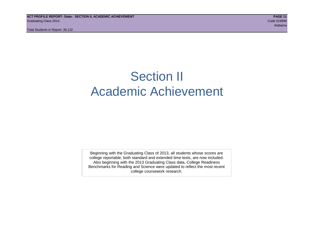## Section II Academic Achievement

Beginning with the Graduating Class of 2013, all students whose scores are college reportable, both standard and extended time tests, are now included. Also beginning with the 2013 Graduating Class data, College Readiness Benchmarks for Reading and Science were updated to reflect the most recent college coursework research.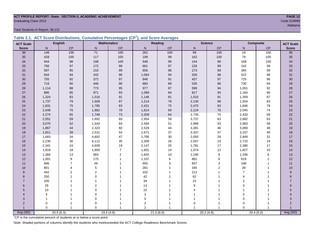## **ACT PROFILE REPORT- State: SECTION II, ACADEMIC ACHIEVEMENT PAGE 12** Graduating Class 2013 Code 019999

Total Students in Report: 38,122

|  | Table 2.1. ACT Score Distributions, Cumulative Percentages (CP <sup>1</sup> ), and Score Averages |  |  |  |
|--|---------------------------------------------------------------------------------------------------|--|--|--|
|  |                                                                                                   |  |  |  |

| <b>ACT Scale</b> |                | <b>English</b> |                | <b>Mathematics</b> |                | Reading   |                | <b>Science</b>   |                | Composite    | <b>ACT Scale</b> |
|------------------|----------------|----------------|----------------|--------------------|----------------|-----------|----------------|------------------|----------------|--------------|------------------|
| <b>Score</b>     | N <sub>1</sub> | <b>CP</b>      | N              | CP                 | N              | CP        | $\mathsf{N}$   | CP               | N              | CP           | <b>Score</b>     |
| 36               | 148            | 100            | 71             | 100                | 262            | 100       | 99             | 100              | 19             | 100          | $\overline{36}$  |
| 35               | 428            | 100            | 117            | 100                | 199            | 99        | 162            | 100              | 79             | 100          | 35               |
| 34               | 544            | 98             | 198            | 100                | 548            | 99        | 144            | 99               | 168            | 100          | 34               |
| 33               | 756            | 97             | 172            | 99                 | 661            | 97        | 126            | 99               | 242            | 99           | 33               |
| 32               | 597            | 95             | 210            | 99                 | 656            | 96        | 273            | 99               | 384            | 99           | 32               |
| 31               | 634            | 94             | 242            | $98\,$             | 1,064          | 94        | 326            | $98\,$           | 522            | 98           | 31               |
| 30               | 755            | 92             | 372            | 97                 | 846            | 91        | 437            | 97               | 725            | 96           | 30               |
| 29               | 719            | 90             | 446            | 96                 | 883            | 89        | 535            | 96               | 730            | 94           | 29               |
| 28               | 1,114          | 88             | 773            | 95                 | 977            | 87        | 599            | 94               | 1,001          | 92           | 28               |
| 27               | 885            | 85             | 971            | 93                 | 1,069          | 84        | 817            | 93               | 1,164          | 90           | $27\,$           |
| 26               | 1,324          | 83             | 1,516          | 91                 | 1,146          | 81        | 1,010          | 91               | 1,359          | 87           | $26\,$           |
| 25               | 1,737          | 79             | 1,509          | 87                 | 1,214          | 78        | 2,130          | 88               | 1,554          | 83           | 25               |
| 24               | 1,831          | 75             | 1,785          | 83                 | 2,421          | 75        | 2,475          | 83               | 1,846          | 79           | 24               |
| 23               | 2,048          | 70             | 1,862          | ${\bf 78}$         | 1,614          | 69        | 2,124          | ${\bf 76}$       | 2,045          | 74           | 23               |
| 22               | 2,274          | 65             | 1,749          | 73                 | 2,209          | 64        | 2,735          | $70\,$           | 2,433          | 69           | 22               |
| 21               | 2,551          | 59             | 1,692          | 69                 | 2,954          | 59        | 3,737          | 63               | 2,682          | 63           | 21               |
| 20               | 3,070          | 52             | 1,543          | 64                 | 2,594          | 51        | 2,999          | 53               | 2,963          | 56           | 20               |
| 19               | 1,867          | 44             | 2,323          | 60                 | 2,529          | 44        | 3,381          | 46               | 3,069          | 48           | 19               |
| 18               | 1,811          | 39             | 2,531          | 54                 | 2,671          | 37        | 3,337          | 37               | 3,157          | 40           | 18               |
| 17               | 1,683          | 34             | 4,602          | 47                 | 1,795          | 30        | 2,093          | 28               | 2,949          | 31           | 17               |
| 16               | 2,236          | 30             | 6,112          | 35                 | 2,309          | 26        | 2,057          | 23               | 2,710          | 24           | 16               |
| 15               | 2,341          | 24             | 4,609          | 19                 | 2,147          | 20        | 1,781          | 17               | 2,380          | 17           | 15               |
| 14               | 1,819          | 18             | 1,900          | $\overline{7}$     | 1,601          | 14        | 1,374          | 12               | 1,827          | 10           | 14               |
| 13               | 1,360          | 13             | 583            | $\mathbf 2$        | 1,602          | 10        | 1,195          | $\boldsymbol{9}$ | 1,246          | $\,6$        | 13               |
| 12               | 1,001          | 9              | 175            | $\mathbf{1}$       | 1,107          | 6         | 862            | 6                | 619            | 2            | 12               |
| 11               | 946            | $\overline{7}$ | 49             |                    | 555            | 3         | 657            | 3                | 196            | $\mathbf{1}$ | 11               |
| 10               | 801            | $\overline{4}$ | 5              |                    | 281            |           | 345            | $\overline{2}$   | 39             | 1            | 10               |
| 9                | 442            | $\overline{2}$ | $\overline{2}$ |                    | 102            |           | 212            | 1                | $\overline{7}$ | 1            | $\boldsymbol{9}$ |
| 8                | 250            |                | $\Omega$       |                    | 42             |           | 62             | 1                | 4              |              | 8                |
| $\overline{7}$   | 105            |                | 1              |                    | 34             |           | 22             |                  | $\overline{2}$ |              | $\overline{7}$   |
| 6                | 29             |                | $\overline{2}$ |                    | 13             |           | 9              |                  | $\mathbf 0$    |              | 6                |
| 5                | 10             |                | $\mathbf 0$    |                    | 10             |           |                |                  |                |              | 5                |
| 4                | 5              |                | $\pmb{0}$      |                    | 3              |           |                |                  | 0              |              |                  |
| 3                | 1              |                | $\mathbf 0$    |                    | 0              |           |                | 1                | $\mathbf 0$    |              | 3                |
| $\overline{2}$   | 0              |                | 0              |                    | 2              |           | 0              | 1                | $\mathbf 0$    |              | $\overline{2}$   |
|                  | $\Omega$       | $\overline{1}$ | $\Omega$       |                    | $\overline{2}$ | 1         | $\overline{1}$ | $\overline{1}$   | $\Omega$       |              |                  |
| Avg (SD)         |                | 20.5(6.3)      |                | 19.5(4.8)          |                | 21.0(6.0) |                | 20.2(4.9)        |                | 20.4(5.0)    | Avg (SD)         |

<sup>1</sup>CP is the cumulative percent of students at or below a score point.

Note: Shaded portions of columns identify the students who met/exceeded the ACT College Readiness Benchmark Scores.

Alabama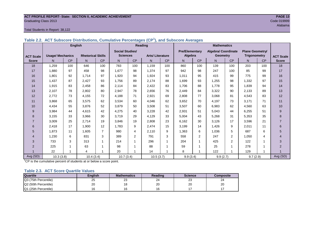#### **ACT PROFILE REPORT- State: SECTION II, ACADEMIC ACHIEVEMENT PAGE 13 Graduating Class 2013** Code 019999

**ACT Scale Score**

#### Total Students in Report: 38,122

|                  | Table 2.2. AUT JUDSCULE DISTINGUIONS, CUMURUIVE FEICENTAGES (UF T), AND JUDSCULE AVEIAGES |                |                          |           |                                           |           |                        |           |                                  |           |                                               |                |                                               |     |                |
|------------------|-------------------------------------------------------------------------------------------|----------------|--------------------------|-----------|-------------------------------------------|-----------|------------------------|-----------|----------------------------------|-----------|-----------------------------------------------|----------------|-----------------------------------------------|-----|----------------|
|                  |                                                                                           | <b>English</b> |                          |           |                                           |           | Reading                |           |                                  |           | <b>Mathematics</b>                            |                |                                               |     |                |
| <b>ACT Scale</b> | <b>Usage/ Mechanics</b>                                                                   |                | <b>Rhetorical Skills</b> |           | <b>Social Studies/</b><br><b>Sciences</b> |           | <b>Arts/Literature</b> |           | <b>Pre/Elementary</b><br>Algebra |           | <b>Algebra/ Coordinate</b><br><b>Geometry</b> |                | <b>Plane Geometry/</b><br><b>Trigonometry</b> |     | <b>ACTS</b>    |
| <b>Score</b>     | N <sub>1</sub>                                                                            | <b>CP</b>      | N                        | <b>CP</b> | N.                                        | <b>CP</b> | N.                     | <b>CP</b> | N.                               | <b>CP</b> | N                                             | <b>CP</b>      | N <sub>1</sub>                                | CP  | <b>Sco</b>     |
| 18               | 1,259                                                                                     | 100            | 646                      | 100       | 783                                       | 100       | 1,159                  | 100       | 860                              | 100       | 139                                           | 100            | 203                                           | 100 | 18             |
| 17               | 1,880                                                                                     | 97             | 458                      | 98        | 1,677                                     | 98        | 1,374                  | 97        | 942                              | 98        | 247                                           | 100            | 85                                            | 99  | 17             |
| 16               | 1,801                                                                                     | 92             | 1,714                    | 97        | 1,920                                     | 94        | 1,924                  | 93        | 1,011                            | 95        | 415                                           | 99             | 775                                           | 99  | 16             |
| 15               | 1,437                                                                                     | 87             | 2,427                    | 93        | 1,756                                     | 89        | 2,174                  | 88        | 1,699                            | 93        | 1,255                                         | 98             | 1,332                                         | 97  | 15             |
| 14               | 1,915                                                                                     | 83             | 2,458                    | 86        | 2,114                                     | 84        | 2,422                  | 83        | 1,706                            | 88        | 1,778                                         | 95             | 1,839                                         | 94  | 14             |
| 13               | 2,107                                                                                     | 78             | 2,802                    | 80        | 2,947                                     | 78        | 2,656                  | 76        | 2,449                            | 84        | 3,322                                         | 90             | 2,133                                         | 89  | 13             |
| 12               | 2,772                                                                                     | 73             | 4,155                    | 72        | 4,188                                     | 71        | 2,921                  | 69        | 2,808                            | 77        | 3,068                                         | 81             | 4,543                                         | 83  | 12             |
| 11               | 3,868                                                                                     | 65             | 3,575                    | 62        | 3,534                                     | 60        | 4,046                  | 62        | 3,652                            | 70        | 4,197                                         | 73             | 3,171                                         | 71  | 11             |
| 10               | 4,434                                                                                     | 55             | 3,876                    | 52        | 3,879                                     | 50        | 3,508                  | 51        | 3,507                            | 60        | 6,983                                         | 62             | 4,560                                         | 63  | 10             |
| 9                | 3,984                                                                                     | 44             | 4,615                    | 42        | 4,275                                     | 40        | 3,228                  | 42        | 2,931                            | 51        | 5,043                                         | 44             | 6,255                                         | 51  | 9              |
| 8                | 3,155                                                                                     | 33             | 3,966                    | 30        | 3,719                                     | 29        | 4,129                  | 33        | 5,004                            | 43        | 5,268                                         | 31             | 5,353                                         | 35  | 8              |
| $\overline{7}$   | 3,009                                                                                     | 25             | 2,714                    | 19        | 3,846                                     | 19        | 2,808                  | 23        | 6,162                            | 30        | 3,126                                         | 17             | 3,596                                         | 21  |                |
| 6                | 2,418                                                                                     | 17             | 1,900                    | 12        | 1,783                                     | 9         | 2,474                  | 15        | 3,199                            | 14        | 1,426                                         | 9              | 2,011                                         | 11  | 6              |
| 5                | 1,873                                                                                     | 11             | 1,605                    | 7         | 980                                       | 4         | 2,110                  | 9         | 1,363                            | 6         | 1,036                                         | 5              | 687                                           | 6   | 5              |
| 4                | 1,230                                                                                     | 6              | 831                      | 3         | 389                                       | 2         | 791                    | 3         | 558                              | 2         | 247                                           | $\overline{2}$ | 1,050                                         | 4   | $\overline{4}$ |
| 3                | 733                                                                                       | 3              | 313                      |           | 214                                       |           | 296                    |           | 204                              |           | 425                                           | 2              | 122                                           |     | 3              |

2 | 225 | 1 | 63 | 1 | 98 | 1 | 88 | 1 | 59 | 1 | 25 | 1 | 278 | 1 | 2 1 22 1 | 4 | 1 | 20 | 1 | 14 | 1 | 8 | 1 | 122 | 1 | 129 | 1 | 1 Avg (SD) 10.3 (3.8) 10.4 (3.4) 10.7 (3.4) 10.5 (3.7) 9.9 (3.4) 9.9 (2.7) 9.7 (2.9) Avg (SD)

**Table 2.2. ACT Subscore Distributions, Cumulative Percentages (CP<sup>1</sup> ), and Subscore Averages**

<sup>1</sup>CP is the cumulative percent of students at or below a score point.

#### **Table 2.3. ACT Score Quartile Values**

| <b>Quartile</b>      | Enalish | <b>Mathematics</b> | Reading      | <b>Science</b> | Composite |
|----------------------|---------|--------------------|--------------|----------------|-----------|
| Q3 (75th Percentile) | 25      | ົ<br>ںے            | $\sim$<br>24 | ົ<br>د∠        | 24        |
| Q2 (50th Percentile) | 20      |                    | oc<br>∠∪     | 20             | 20        |
| Q1 (25th Percentile) |         |                    |              |                |           |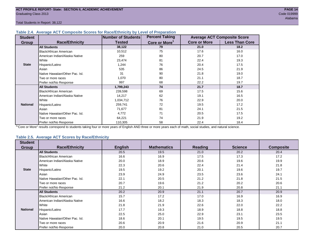Total Students in Report: 38,122

#### **Table 2.4. Average ACT Composite Scores for Race/Ethnicity by Level of Preparation**

| <b>Student</b>  |                                 | <b>Number of Students</b> | <b>Percent Taking</b>     |                     | <b>Average ACT Composite Score</b> |
|-----------------|---------------------------------|---------------------------|---------------------------|---------------------|------------------------------------|
| <b>Group</b>    | <b>Race/Ethnicity</b>           | <b>Tested</b>             | Core or More <sup>1</sup> | <b>Core or More</b> | <b>Less Than Core</b>              |
|                 | <b>All Students</b>             | 38,122                    | 79                        | 21.0                | 18.2                               |
|                 | <b>Black/African American</b>   | 10,512                    | 75                        | 17.6                | 16.0                               |
|                 | American Indian/Alaska Native   | 259                       | 80                        | 20.7                | 17.0                               |
|                 | White                           | 23,474                    | 81                        | 22.4                | 19.3                               |
| <b>State</b>    | Hispanic/Latino                 | 1,244                     | 76                        | 20.4                | 17.5                               |
|                 | Asian                           | 535                       | 86                        | 24.5                | 21.9                               |
|                 | Native Hawaiian/Other Pac. Isl. | 31                        | 90                        | 21.8                | 19.0                               |
|                 | I Two or more races             | 1,070                     | 80                        | 21.1                | 18.7                               |
|                 | Prefer not/No Response          | 997                       | 68                        | 22.2                | 19.7                               |
|                 | <b>All Students</b>             | 1,799,243                 | 74                        | 21.7                | 18.7                               |
|                 | Black/African American          | 239,598                   | 69                        | 17.5                | 15.6                               |
|                 | American Indian/Alaska Native   | 14,217                    | 62                        | 19.1                | 16.5                               |
|                 | <b>White</b>                    | 1,034,712                 | 76                        | 22.9                | 20.0                               |
| <b>National</b> | Hispanic/Latino                 | 259,741                   | 72                        | 19.5                | 17.2                               |
|                 | Asian                           | 71,677                    | 81                        | 24.1                | 21.5                               |
|                 | Native Hawaiian/Other Pac. Isl. | 4,772                     | 71                        | 20.5                | 17.5                               |
|                 | Two or more races               | 64,221                    | 74                        | 21.9                | 19.2                               |
|                 | Prefer not/No Response          | 110,305                   | 58                        | 22.4                | 18.4                               |

<sup>1</sup>"Core or More" results correspond to students taking four or more years of English AND three or more years each of math, social studies, and natural science.

#### **Table 2.5. Average ACT Scores by Race/Ethnicity**

| <b>Student</b>  |                                 |                |                    |                |                |                  |
|-----------------|---------------------------------|----------------|--------------------|----------------|----------------|------------------|
| <b>Group</b>    | <b>Race/Ethnicity</b>           | <b>English</b> | <b>Mathematics</b> | <b>Reading</b> | <b>Science</b> | <b>Composite</b> |
|                 | <b>All Students</b>             | 20.5           | 19.5               | 21.0           | 20.2           | 20.4             |
|                 | <b>Black/African American</b>   | 16.6           | 16.9               | 17.5           | 17.3           | 17.2             |
|                 | American Indian/Alaska Native   | 20.0           | 18.9               | 20.6           | 19.6           | 19.9             |
|                 | White                           | 22.3           | 20.6               | 22.4           | 21.4           | 21.8             |
| <b>State</b>    | Hispanic/Latino                 | 19.5           | 19.2               | 20.1           | 19.6           | 19.7             |
|                 | Asian                           | 23.9           | 24.9               | 23.5           | 23.6           | 24.1             |
|                 | Native Hawaiian/Other Pac. Isl. | 22.1           | 20.5               | 21.2           | 21.8           | 21.5             |
|                 | Two or more races               | 20.7           | 19.6               | 21.2           | 20.2           | 20.6             |
|                 | Prefer not/No Response          | 21.2           | 20.1               | 21.9           | 20.8           | 21.1             |
|                 | <b>All Students</b>             | 20.2           | 20.9               | 21.1           | 20.7           | 20.9             |
|                 | Black/African American          | 15.7           | 17.2               | 17.0           | 16.9           | 16.9             |
|                 | American Indian/Alaska Native   | 16.6           | 18.2               | 18.3           | 18.3           | 18.0             |
|                 | White                           | 21.8           | 21.9               | 22.6           | 22.0           | 22.2             |
| <b>National</b> | Hispanic/Latino                 | 17.7           | 19.3               | 18.9           | 18.8           | 18.8             |
|                 | Asian                           | 22.5           | 25.0               | 22.9           | 23.1           | 23.5             |
|                 | Native Hawaiian/Other Pac. Isl. | 18.6           | 20.1               | 19.5           | 19.5           | 19.5             |
|                 | Two or more races               | 20.6           | 20.9               | 21.6           | 20.9           | 21.1             |
|                 | Prefer not/No Response          | 20.0           | 20.8               | 21.0           | 20.5           | 20.7             |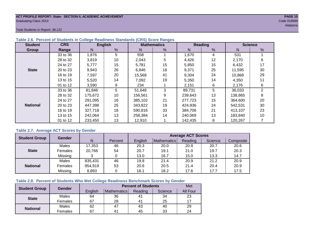#### **ACT PROFILE REPORT- State: SECTION II, ACADEMIC ACHIEVEMENT PAGE 15** Graduating Class 2013 Code 019999

Total Students in Report: 38,122

| <b>Student</b>  | <b>CRS</b> |         | <b>English</b> |         | <b>Mathematics</b> |         | <b>Reading</b> | <b>Science</b> |    |  |
|-----------------|------------|---------|----------------|---------|--------------------|---------|----------------|----------------|----|--|
| Group           | Range      | N       | %              | N       | %                  | N       | %              | N              | %  |  |
|                 | 33 to 36   | 1,876   | 5              | 558     |                    | 1,670   | 4              | 531            |    |  |
|                 | 28 to 32   | 3,819   | 10             | 2,043   | 5                  | 4,426   | 12             | 2,170          | 6  |  |
|                 | 24 to 27   | 5,777   | 15             | 5,781   | 15                 | 5,850   | 15             | 6,432          | 17 |  |
| <b>State</b>    | 20 to 23   | 9,943   | 26             | 6,846   | 18                 | 9,371   | 25             | 11.595         | 30 |  |
|                 | 16 to 19   | 7,597   | 20             | 15,568  | 41                 | 9,304   | 24             | 10,868         | 29 |  |
|                 | 13 to 15   | 5,520   | 14             | 7,092   | 19                 | 5,350   | 14             | 4,350          | 11 |  |
|                 | 01 to 12   | 3,590   | 9              | 234     |                    | 2,151   | 6              | 2,176          | 6  |  |
|                 | 33 to 36   | 81,846  | 5              | 51,648  | 3                  | 89,731  | 5              | 36,033         | 2  |  |
|                 | 28 to 32   | 175,672 | 10             | 156,561 | 9                  | 239,643 | 13             | 138,865        | 8  |  |
|                 | 24 to 27   | 291.095 | 16             | 385,102 | 21                 | 277.723 | 15             | 364,600        | 20 |  |
| <b>National</b> | 20 to 23   | 447,398 | 25             | 343,822 | 19                 | 424,936 | 24             | 542,531        | 30 |  |
|                 | 16 to 19   | 327,718 | 18             | 590.816 | 33                 | 384.706 | 21             | 413,107        | 23 |  |
|                 | 13 to 15   | 242,064 | 13             | 258,384 | 14                 | 240,069 | 13             | 183,840        | 10 |  |
|                 | 01 to 12   | 233,450 | 13             | 12,910  |                    | 142,435 | 8              | 120,267        |    |  |

#### **Table 2.6. Percent of Students in College Readiness Standards (CRS) Score Ranges**

#### **Table 2.7. Average ACT Scores by Gender**

| <b>Student Group</b> | <b>Gender</b> |         |         | <b>Average ACT Scores</b> |             |         |         |           |  |  |  |
|----------------------|---------------|---------|---------|---------------------------|-------------|---------|---------|-----------|--|--|--|
|                      |               | N       | Percent | Enalish                   | Mathematics | Reading | Science | Composite |  |  |  |
|                      | Males         | 17,353  | 46      | 20.3                      | 20.0        | 20.9    | 20.7    | 20.6      |  |  |  |
| <b>State</b>         | Females       | 20,766  | 54      | 20.7                      | 19.1        | 21.0    | 19.7    | 20.3      |  |  |  |
|                      | Missing       |         |         | 13.0                      | 16.7        | 15.0    | 13.3    | 14.7      |  |  |  |
|                      | Males         | 835,431 | 46      | 19.8                      | 21.4        | 20.9    | 21.2    | 20.9      |  |  |  |
| <b>National</b>      | Females       | 954,919 | 53      | 20.6                      | 20.5        | 21.4    | 20.4    | 20.9      |  |  |  |
|                      | Missing       | 8,893   | 0       | 16.1                      | 18.2        | 17.6    | 17.7    | 17.5      |  |  |  |

#### **Table 2.8. Percent of Students Who Met College Readiness Benchmark Scores by Gender**

| <b>Student Group</b> | Gender  |         | <b>Percent of Students</b> |                |         |                 |  |  |  |  |
|----------------------|---------|---------|----------------------------|----------------|---------|-----------------|--|--|--|--|
|                      |         | English | Mathematics                | Reading        | Science | <b>All Four</b> |  |  |  |  |
| <b>State</b>         | Males   | 64      | 36                         | 41             | 34      | 23              |  |  |  |  |
|                      | Females | 67      | 28                         | 4 <sup>1</sup> | 25      |                 |  |  |  |  |
| <b>National</b>      | Males   | 62      | 47                         | 43             | 40      | 29              |  |  |  |  |
|                      | Females | 67      | 4 <sup>1</sup>             | 45             | 33      | 24              |  |  |  |  |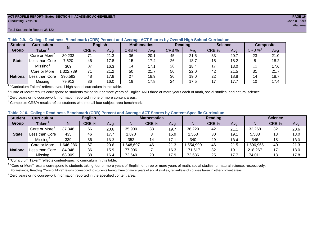#### **ACT PROFILE REPORT- State: SECTION II, ACADEMIC ACHIEVEMENT PAGE 16** Graduating Class 2013 Code 019999

#### Total Students in Report: 38,122

| <b>Student</b>  | Curriculum                              | N        | <b>English</b> |      | <b>Mathematics</b> |      | Reading |      |       | <b>Science</b> | <b>Composite</b>      |      |
|-----------------|-----------------------------------------|----------|----------------|------|--------------------|------|---------|------|-------|----------------|-----------------------|------|
| Group           | Taken $^{\scriptscriptstyle\mathsf{T}}$ |          | CRB %          | Avg  | CRB %              | Avg  | CRB %   | Avg  | CRB % | Avg            | $CRB \%$ <sup>4</sup> | Avg  |
|                 | Core or More <sup>2</sup>               | 30,233   | 71             | 21.3 | 36                 | 20.1 | 45      | 21.5 | 33    | 20.7           | 23                    | 21.0 |
| <b>State</b>    | Less than Corel                         | 7,520    | 46             | 17.8 | 15                 | 17.4 | 26      | 18.7 | 15    | 18.2           | 8                     | 18.2 |
|                 | Missing <sup>3</sup>                    | 369      | 37             | 16.3 | 14                 | 17.1 | 28      | 18.4 | 17    | 18.0           |                       | 17.6 |
|                 | Core or More                            | ,322,739 | 71             | 21.2 | 50                 | 21.7 | 50      | 22.0 | 42    | 21.5           | 31                    | 21.7 |
| <b>National</b> | Less than Core                          | 396,592  | 48             | 17.8 | 27                 | 18.9 | 30      | 19.0 | 22    | 18.8           | 14                    | 18.7 |
|                 | Missing                                 | 79,912   | 36             | 16.0 | 19                 | 17.8 | 24      | 17.5 | 17    | 17.7           | 10                    | 17.4 |

#### **Table 2.9. College Readiness Benchmark (CRB) Percent and Average ACT Scores by Overall High School Curriculum**

<sup>1</sup> "Curriculum Taken" reflects overall high school curriculum in this table.

 $^2$  "Core or More" results correspond to students taking four or more years of English AND three or more years each of math, social studies, and natural science.

 $3$  Zero years or no coursework information reported in one or more content areas.

 $4$  Composite CRB% results reflect students who met all four subject-area benchmarks.

#### **Table 2.10. College Readiness Benchmark (CRB) Percent and Average ACT Scores by Content-Specific Curriculum**

| <b>Student</b>  | Curriculum                    |          | <b>English</b> |      |          | <b>Mathematics</b> |      |          | <b>Reading</b> |      |          | <b>Science</b> |      |  |
|-----------------|-------------------------------|----------|----------------|------|----------|--------------------|------|----------|----------------|------|----------|----------------|------|--|
| Group           | $\mathsf{Taken}^{\mathsf{T}}$ |          | CRB %          | Avg  | N        | CRB %              | Avg  | N        | CRB %          | Avg  | N        | CRB %          | Avg  |  |
|                 | Core or More <sup>2</sup>     | 37,348   | 66             | 20.6 | 35,900   | 33                 | 19.7 | 36,229   | 42             | 21.7 | 32,268   | 32             | 20.6 |  |
| <b>State</b>    | Less than Corel               | 435      | 46             | 17.7 | .870     |                    | 15.9 | ,553     | 30             | 19.1 | 5,508    | 13             | 18.0 |  |
|                 | Missing <sup>3</sup>          | 339      | 36             | 16.3 | 352      | 14                 | 17.1 | 340      | 29             | 18.4 | 346      | 18             | 18.0 |  |
|                 | Core or More                  | .646,286 | 67             | 20.6 | ,648,697 | 46                 | 21.3 | .554,990 | 46             | 21.5 | ,506,965 | 40             | 21.3 |  |
| <b>National</b> | Less than Core                | 84,048   | 36             | 15.9 | 77,906   |                    | 16.3 | 171,617  | 32             | 19.7 | 218,267  |                | 18.0 |  |
|                 | Missing                       | 68,909   | 38             | 16.4 | 72,640   | 20                 | 17.9 | 72,636   | 25             | 17.7 | 74,011   | 18             | 17.8 |  |

<sup>1</sup>"Curriculum Taken" reflects content-specific curriculum in this table.

<sup>2</sup> "Core or More" results correspond to students taking four or more years of English or three or more years of math, social studies, or natural science, respectively. For instance, Reading "Core or More" results correspond to students taking three or more years of social studies, regardless of courses taken in other content areas.

 $3$  Zero years or no coursework information reported in the specified content area.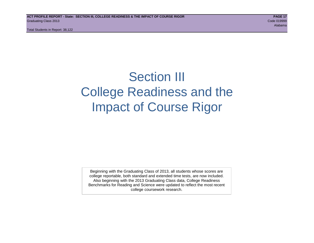Total Students in Report: 38,122

## Section III College Readiness and the Impact of Course Rigor

Beginning with the Graduating Class of 2013, all students whose scores are college reportable, both standard and extended time tests, are now included. Also beginning with the 2013 Graduating Class data, College Readiness Benchmarks for Reading and Science were updated to reflect the most recent college coursework research.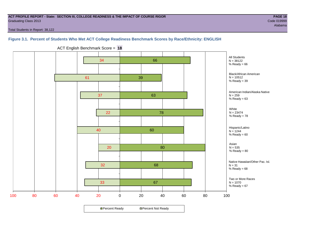#### **ACT PROFILE REPORT - State: SECTION III, COLLEGE READINESS & THE IMPACT OF COURSE RIGOR PAGE 18** Graduating Class 2013 Code 019999

Total Students in Report: 38,122

### **Figure 3.1. Percent of Students Who Met ACT College Readiness Benchmark Scores by Race/Ethnicity: ENGLISH**



ACT English Benchmark Score = **18**

**□ Percent Ready DPercent Not Ready**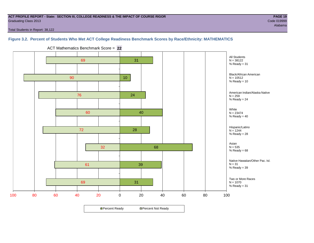#### **ACT PROFILE REPORT - State: SECTION III, COLLEGE READINESS & THE IMPACT OF COURSE RIGOR PAGE 19** Graduating Class 2013 Code 019999

Total Students in Report: 38,122

### **Figure 3.2. Percent of Students Who Met ACT College Readiness Benchmark Scores by Race/Ethnicity: MATHEMATICS**



ACT Mathematics Benchmark Score = **22**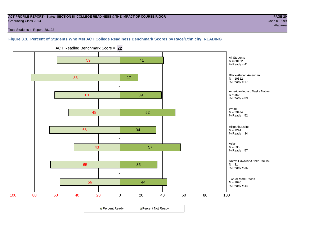#### **ACT PROFILE REPORT - State: SECTION III, COLLEGE READINESS & THE IMPACT OF COURSE RIGOR PAGE 20** Graduating Class 2013 Code 019999

Alabama

Total Students in Report: 38,122

#### **Figure 3.3. Percent of Students Who Met ACT College Readiness Benchmark Scores by Race/Ethnicity: READING**



ACT Reading Benchmark Score = **22**

**□ Percent Ready DPercent Not Ready**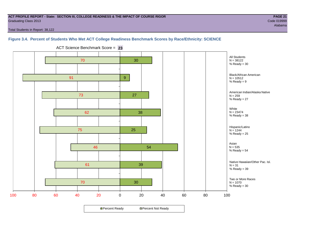#### **ACT PROFILE REPORT - State: SECTION III, COLLEGE READINESS & THE IMPACT OF COURSE RIGOR PAGE 21** Graduating Class 2013 Code 019999

Alabama

Total Students in Report: 38,122

#### **Figure 3.4. Percent of Students Who Met ACT College Readiness Benchmark Scores by Race/Ethnicity: SCIENCE**



ACT Science Benchmark Score = **23**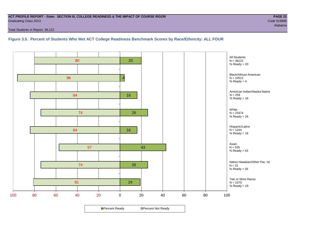#### **ACT PROFILE REPORT - State: SECTION III, COLLEGE READINESS & THE IMPACT OF COURSE RIGOR PAGE 22** Graduating Class 2013 Code 019999

Total Students in Report: 38,122

**Figure 3.5. Percent of Students Who Met ACT College Readiness Benchmark Scores by Race/Ethnicity: ALL FOUR**

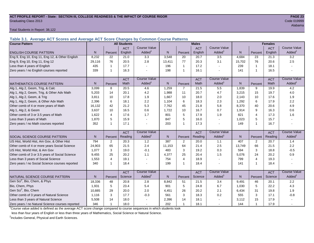#### **ACT PROFILE REPORT - State: SECTION III, COLLEGE READINESS & THE IMPACT OF COURSE RIGOR PAGE 23** Graduating Class 2013 Code 019999

Total Students in Report: 38,122

**Table 3.1. Average ACT Scores and Average ACT Score Changes by Common Course Patterns**

| <b>Course Pattern</b>                            |                |                | <b>All Students</b> |                     |              |                | <b>Males</b> |                     |              |                | <b>Females</b> |                        |
|--------------------------------------------------|----------------|----------------|---------------------|---------------------|--------------|----------------|--------------|---------------------|--------------|----------------|----------------|------------------------|
|                                                  |                |                | <b>ACT</b>          | <b>Course Value</b> |              |                | <b>ACT</b>   | <b>Course Value</b> |              |                | <b>ACT</b>     | <b>Course Value</b>    |
| <b>ENGLISH COURSE PATTERN</b>                    | N.             | Percent        | English             | Added <sup>1</sup>  | N            | Percent        | English      | Added <sup>1</sup>  | N            | Percent        | English        | A d d e d <sup>1</sup> |
| Eng 9, Eng 10, Eng 11, Eng 12, & Other English   | 8,232          | 22             | 21.0                | 3.3                 | 3,548        | 20             | 20.7         | 3.5                 | 4,684        | 23             | 21.3           | 3.2                    |
| Eng 9, Eng 10, Eng 11, Eng 12                    | 29,116         | 76             | 20.5                | 2.8                 | 13,411       | 77             | 20.3         | 3.1                 | 15,702       | 76             | 20.6           | 2.5                    |
| Less than 4 years of English                     | 435            | $\mathbf 1$    | 17.7                |                     | 196          | $\overline{1}$ | 17.2         | $\sim$              | 239          | $\mathbf{1}$   | 18.1           |                        |
| Zero years / no English courses reported         | 339            | $\mathbf 1$    | 16.3                |                     | 198          | $\overline{1}$ | 16.1         |                     | 141          | $\mathbf{1}$   | 16.5           |                        |
|                                                  |                |                | <b>ACT</b>          | <b>Course Value</b> |              |                | <b>ACT</b>   | <b>Course Value</b> |              |                | <b>ACT</b>     | <b>Course Value</b>    |
| <b>MATHEMATICS COURSE PATTERN</b>                | N.             | Percent        | Math                | Added               | $\mathsf{N}$ | Percent        | Math         | Added <sup>1</sup>  | $\mathsf{N}$ | Percent        | Math           | A d d e d <sup>1</sup> |
| Alg 1, Alg 2, Geom, Trig, & Calc                 | 3,099          | 8              | 20.5                | 4.6                 | 1,259        | $\overline{7}$ | 21.5         | 5.5                 | 1,839        | 9              | 19.9           | 4.2                    |
| Alg 1, Alg 2, Geom, Trig, & Other Adv Math       | 5,203          | 14             | 20.1                | 4.2                 | 1,988        | 11             | 20.7         | 4.7                 | 3,215        | 15             | 19.7           | 4.0                    |
| Alg 1, Alg 2, Geom, & Trig                       | 3,811          | 10             | 17.8                | 1.9                 | 1,667        | 10             | 18.0         | 2.0                 | 2,143        | 10             | 17.6           | 1.9                    |
| Alg 1, Alg 2, Geom, & Other Adv Math             | 2,396          | 6              | 18.1                | 2.2                 | 1,104        | 6              | 18.3         | 2.3                 | 1,292        | 6              | 17.9           | 2.2                    |
| Other comb of 4 or more years of Math            | 16,132         | 42             | 21.2                | 5.3                 | 7.762        | 45             | 21.8         | 5.8                 | 8,370        | 40             | 20.6           | 4.9                    |
| Alg 1, Alg 2, & Geom                             | 3,637          | 10             | 16.5                | 0.6                 | 1,722        | 10             | 16.7         | 0.7                 | 1,914        | 9              | 16.3           | 0.6                    |
| Other comb of 3 or 3.5 years of Math             | 1.622          | 4              | 17.6                | 1.7                 | 801          | 5              | 17.9         | 1.9                 | 821          | $\overline{4}$ | 17.3           | 1.6                    |
| Less than 3 years of Math                        | 1,870          | 5              | 15.9                |                     | 847          | 5              | 16.0         | $\blacksquare$      | 1,023        | 5              | 15.7           |                        |
| Zero years / no Math courses reported            | 352            | $\mathbf 1$    | 17.1                |                     | 203          | $\overline{1}$ | 17.3         | $\blacksquare$      | 149          | 1              | 16.7           |                        |
|                                                  |                |                | <b>ACT</b>          | <b>Course Value</b> |              |                | <b>ACT</b>   | <b>Course Value</b> |              |                | <b>ACT</b>     | <b>Course Value</b>    |
| <b>SOCIAL SCIENCE COURSE PATTERN</b>             | N <sub>1</sub> | Percent        | Reading             | Added <sup>1</sup>  | N            | Percent        | Reading      | Added <sup>1</sup>  | N            | Percent        | Reading        | $A dded^1$             |
| US Hist, World Hist, Am Gov, & Other Hist        | 794            | $\overline{2}$ | 20.3                | 1.2                 | 387          | 2              | 20.0         | 1.1                 | 407          | $\mathbf{2}$   | 20.7           | 1.4                    |
| Other comb of 4 or more years Social Science     | 24,903         | 65             | 21.5                | 2.4                 | 11,153       | 64             | 21.4         | 2.5                 | 13,749       | 66             | 21.5           | 2.2                    |
| US Hist, World Hist, & Am Gov                    | 1,077          | 3              | 19.0                | $-0.1$              | 483          | 3              | 19.2         | 0.3                 | 594          | 3              | 18.8           | $-0.5$                 |
| Other comb of 3 or 3.5 years of Social Science   | 9,455          | 25             | 20.2                | 1.1                 | 4,377        | 25             | 20.4         | 1.5                 | 5,076        | 24             | 20.2           | 0.9                    |
| Less than 3 years of Social Science              | 1,553          | 4              | 19.1                |                     | 754          | $\overline{4}$ | 18.9         | $\sim$              | 799          | $\overline{4}$ | 19.3           |                        |
| Zero years / no Social Science courses reported  | 340            | $\mathbf 1$    | 18.4                |                     | 199          | $\overline{1}$ | 18.4         | $\sim$              | 141          | 1              | 18.4           |                        |
|                                                  |                |                | <b>ACT</b>          | <b>Course Value</b> |              |                | <b>ACT</b>   | Course Value        |              |                | <b>ACT</b>     | <b>Course Value</b>    |
| NATURAL SCIENCE COURSE PATTERN                   | N.             | Percent        | Science             | Added               | $\mathsf{N}$ | Percent        | Science      | Added <sup>1</sup>  | $\mathsf{N}$ | Percent        | Science        | A d d e d <sup>1</sup> |
| Gen Sci <sup>2</sup> , Bio, Chem, & Phys         | 18,336         | 48             | 20.8                | 2.8                 | 8,842        | 51             | 21.5         | 3.4                 | 9,491        | 46             | 20.1           | 2.2                    |
| Bio, Chem, Phys                                  | 1,931          | 5              | 23.4                | 5.4                 | 901          | 5              | 24.8         | 6.7                 | 1,030        | 5              | 22.2           | 4.3                    |
| Gen Sci <sup>2</sup> , Bio, Chem                 | 10,885         | 29             | 20.0                | 2.0                 | 4,451        | 26             | 20.2         | 2.1                 | 6,434        | 31             | 19.8           | 1.9                    |
| Other comb of 3 years of Natural Science         | 1,116          | 3              | 17.7                | $-0.3$              | 561          | $\mathbf{3}$   | 18.3         | 0.2                 | 555          | 3              | 17.1           | $-0.8$                 |
| Less than 3 years of Natural Science             | 5,508          | 14             | 18.0                |                     | 2,396        | 14             | 18.1         |                     | 3,112        | 15             | 17.9           |                        |
| Zero years / no Natural Science courses reported | 346            | 1              | 18.0                |                     | 202          | $\mathbf{1}$   | 18.1         | $\sim$              | 144          | 1              | 17.9           |                        |

<sup>1</sup>Course value added is defined as the average ACT score change compared to course sequences in which students took

less than four years of English or less than three years of Mathematics, Social Science or Natural Science.

<sup>2</sup>Includes General, Physical and Earth Sciences.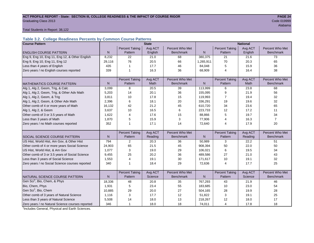#### ACT PROFILE REPORT - State: SECTION III, COLLEGE READINESS & THE IMPACT OF COURSE RIGOR **PAGE 24 Graduating Class 2013** Code 019999

Alabama

Total Students in Report: 38,122

#### **Table 3.2. College Readiness Percents by Common Course Patterns**

| <b>Course Pattern</b>                            |                |                       | <b>State</b> |                  | <b>National</b> |                       |         |                  |  |
|--------------------------------------------------|----------------|-----------------------|--------------|------------------|-----------------|-----------------------|---------|------------------|--|
|                                                  |                | <b>Percent Taking</b> | Avg ACT      | Percent Who Met  |                 | <b>Percent Taking</b> | Avg ACT | Percent Who Met  |  |
| <b>ENGLISH COURSE PATTERN</b>                    | N              | Pattern               | English      | <b>Benchmark</b> | $\mathsf{N}$    | Pattern               | English | <b>Benchmark</b> |  |
| Eng 9, Eng 10, Eng 11, Eng 12, & Other English   | 8,232          | 22                    | 21.0         | 68               | 380,375         | 21                    | 21.6    | 73               |  |
| Eng 9, Eng 10, Eng 11, Eng 12                    | 29,116         | 76                    | 20.5         | 66               | 1,265,911       | 70                    | 20.3    | 65               |  |
| Less than 4 years of English                     | 435            | 1                     | 17.7         | 46               | 84,048          | 5                     | 15.9    | 36               |  |
| Zero years / no English courses reported         | 339            | 1                     | 16.3         | 36               | 68,909          | 4                     | 16.4    | 38               |  |
|                                                  |                |                       |              |                  |                 |                       |         |                  |  |
|                                                  |                | <b>Percent Taking</b> | Avg ACT      | Percent Who Met  |                 | <b>Percent Taking</b> | Avg ACT | Percent Who Met  |  |
| <b>MATHEMATICS COURSE PATTERN</b>                | N <sub>1</sub> | Pattern               | Math         | <b>Benchmark</b> | N               | Pattern               | Math    | <b>Benchmark</b> |  |
| Alg 1, Alg 2, Geom, Trig, & Calc                 | 3,099          | 8                     | 20.5         | 39               | 113,999         | 6                     | 23.8    | 68               |  |
| Alg 1, Alg 2, Geom, Trig, & Other Adv Math       | 5,203          | 14                    | 20.1         | 36               | 155,095         | 9                     | 21.9    | 56               |  |
| Alg 1, Alg 2, Geom, & Trig                       | 3,811          | 10                    | 17.8         | 15               | 119,993         | 7                     | 19.4    | 32               |  |
| Alg 1, Alg 2, Geom, & Other Adv Math             | 2,396          | 6                     | 18.1         | 20               | 336,291         | 19                    | 19.6    | 32               |  |
| Other comb of 4 or more years of Math            | 16,132         | 42                    | 21.2         | 45               | 610,720         | 34                    | 23.6    | 65               |  |
| Alg 1, Alg 2, & Geom                             | 3.637          | 10                    | 16.5         | 6                | 223,733         | 12                    | 17.2    | 11               |  |
| Other comb of 3 or 3.5 years of Math             | 1.622          | $\overline{4}$        | 17.6         | 15               | 88,866          | 5                     | 19.7    | 34               |  |
| Less than 3 years of Math                        | 1.870          | 5                     | 15.9         | 3                | 77,906          | 4                     | 16.3    | $\overline{7}$   |  |
| Zero years / no Math courses reported            | 352            | 1                     | 17.1         | 14               | 72,640          | 4                     | 17.9    | 20               |  |
|                                                  |                |                       |              |                  |                 |                       |         |                  |  |
|                                                  |                | <b>Percent Taking</b> | Avg ACT      | Percent Who Met  |                 | <b>Percent Taking</b> | Avg ACT | Percent Who Met  |  |
| SOCIAL SCIENCE COURSE PATTERN                    | N              | Pattern               | Reading      | <b>Benchmark</b> | N               | Pattern               | Reading | <b>Benchmark</b> |  |
| US Hist, World Hist, Am Gov, & Other Hist        | 794            | 2                     | 20.3         | 36               | 50,989          | 3                     | 22.2    | 51               |  |
| Other comb of 4 or more years Social Science     | 24,903         | 65                    | 21.5         | 45               | 908,394         | 50                    | 22.0    | 50               |  |
| US Hist, World Hist, & Am Gov                    | 1,077          | 3                     | 19.0         | 29               | 106,021         | 6                     | 19.5    | 34               |  |
| Other comb of 3 or 3.5 years of Social Science   | 9,455          | 25                    | 20.2         | 36               | 489,586         | 27                    | 21.0    | 43               |  |
| Less than 3 years of Social Science              | 1,553          | $\overline{4}$        | 19.1         | 30               | 171,617         | 10                    | 19.1    | 32               |  |
| Zero years / no Social Science courses reported  | 340            | 1                     | 18.4         | 29               | 72,636          | 4                     | 17.7    | 25               |  |
|                                                  |                |                       |              |                  |                 |                       |         |                  |  |
|                                                  |                | <b>Percent Taking</b> | Avg ACT      | Percent Who Met  |                 | <b>Percent Taking</b> | Avg ACT | Percent Who Met  |  |
| NATURAL SCIENCE COURSE PATTERN                   | N.             | Pattern               | Science      | <b>Benchmark</b> | N               | Pattern               | Science | <b>Benchmark</b> |  |
| Gen Sci <sup>1</sup> , Bio, Chem, & Phys         | 18,336         | 48                    | 20.8         | 35               | 767,293         | 43                    | 21.9    | 46               |  |
| Bio, Chem, Phys                                  | 1,931          | 5                     | 23.4         | 55               | 183,685         | 10                    | 23.0    | 54               |  |
| Gen Sci <sup>1</sup> , Bio, Chem                 | 10,885         | 29                    | 20.0         | 27               | 504,165         | 28                    | 19.9    | 28               |  |
| Other comb of 3 years of Natural Science         | 1,116          | 3                     | 17.7         | 12               | 51,822          | 3                     | 19.1    | 25               |  |
| Less than 3 years of Natural Science             | 5,508          | 14                    | 18.0         | 13               | 218,267         | 12                    | 18.0    | 17               |  |
| Zero years / no Natural Science courses reported | 346            | $\mathbf{1}$          | 18.0         | 18               | 74,011          | $\overline{4}$        | 17.8    | 18               |  |

<sup>1</sup>Includes General, Physical and Earth Sciences.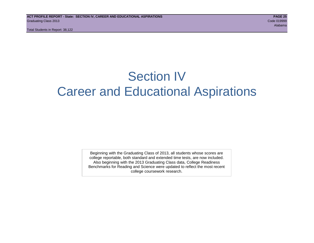Total Students in Report: 38,122

## Section IV Career and Educational Aspirations

Beginning with the Graduating Class of 2013, all students whose scores are college reportable, both standard and extended time tests, are now included. Also beginning with the 2013 Graduating Class data, College Readiness Benchmarks for Reading and Science were updated to reflect the most recent college coursework research.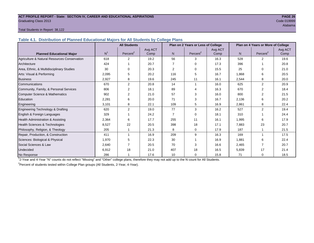#### **ACT PROFILE REPORT - State: SECTION IV, CAREER AND EDUCATIONAL ASPIRATIONS PAGE 26** Graduating Class 2013 Code 019999

Alabama

#### Total Students in Report: 38,122

**Table 4.1. Distribution of Planned Educational Majors for All Students by College Plans**

|                                              | <b>All Students</b><br>Plan on 2 Years or Less of College |                      |         |                |                      |         | Plan on 4 Years or More of College |                      |         |  |
|----------------------------------------------|-----------------------------------------------------------|----------------------|---------|----------------|----------------------|---------|------------------------------------|----------------------|---------|--|
|                                              |                                                           |                      | Avg ACT |                |                      | Avg ACT |                                    |                      | Avg ACT |  |
| <b>Planned Educational Major</b>             | N <sup>1</sup>                                            | Percent <sup>2</sup> | Comp    | N <sub>1</sub> | Percent <sup>2</sup> | Comp    | N                                  | Percent <sup>2</sup> | Comp    |  |
| Agriculture & Natural Resources Conservation | 618                                                       | $\overline{2}$       | 19.2    | 56             | 3                    | 16.3    | 528                                | $\overline{2}$       | 19.6    |  |
| Architecture                                 | 424                                                       |                      | 20.7    | 7              | $\Omega$             | 17.3    | 396                                |                      | 20.8    |  |
| Area, Ethnic, & Multidisciplinary Studies    | 30                                                        | 0                    | 20.3    | $\overline{2}$ | $\Omega$             | 15.5    | 25                                 | 0                    | 21.0    |  |
| Arts: Visual & Performing                    | 2,095                                                     | 5                    | 20.2    | 116            | 5                    | 16.7    | 1,868                              | 6                    | 20.5    |  |
| <b>Business</b>                              | 2,927                                                     | 8                    | 19.6    | 245            | 11                   | 16.1    | 2,544                              | 8                    | 20.0    |  |
| Communications                               | 670                                                       | $\overline{2}$       | 20.8    | 14             |                      | 16.0    | 625                                | $\overline{2}$       | 20.9    |  |
| Community, Family, & Personal Services       | 806                                                       | 2                    | 18.1    | 89             |                      | 16.3    | 670                                | 2                    | 18.4    |  |
| <b>Computer Science &amp; Mathematics</b>    | 902                                                       | $\overline{2}$       | 21.0    | 57             | 3                    | 16.0    | 800                                |                      | 21.5    |  |
| Education                                    | 2,281                                                     | 6                    | 20.0    | 71             | 3                    | 16.7    | 2,136                              | 6                    | 20.2    |  |
| Engineering                                  | 3,101                                                     | 8                    | 22.1    | 109            | 5                    | 16.9    | 2,861                              | 8                    | 22.4    |  |
| Engineering Technology & Drafting            | 620                                                       | $\overline{2}$       | 19.0    | 77             | 3                    | 16.2    | 527                                | $\overline{2}$       | 19.4    |  |
| English & Foreign Languages                  | 329                                                       |                      | 24.2    | 7              | $\Omega$             | 18.1    | 310                                |                      | 24.4    |  |
| Health Administration & Assisting            | 2,364                                                     | 6                    | 17.7    | 255            | 11                   | 16.1    | 1,995                              | 6                    | 17.9    |  |
| Health Sciences & Technologies               | 8,527                                                     | 22                   | 20.5    | 398            | 18                   | 17.1    | 7,883                              | 23                   | 20.7    |  |
| Philosophy, Religion, & Theology             | 205                                                       |                      | 21.3    | 8              | 0                    | 17.9    | 187                                |                      | 21.5    |  |
| Repair, Production, & Construction           | 411                                                       |                      | 16.9    | 209            | 9                    | 16.3    | 169                                |                      | 17.5    |  |
| Sciences: Biological & Physical              | 1,970                                                     | 5                    | 22.3    | 30             |                      | 16.9    | 1,881                              | 6                    | 22.4    |  |
| Social Sciences & Law                        | 2,640                                                     |                      | 20.5    | 70             | 3                    | 16.6    | 2,465                              | 7                    | 20.7    |  |
| Undecided                                    | 6,912                                                     | 18                   | 21.0    | 407            | 18                   | 16.5    | 5,839                              | 17                   | 21.4    |  |
| No Response                                  | 286                                                       |                      | 17.6    | 10             | 0                    | 15.8    | 71                                 | 0                    | 18.5    |  |

1 2-Year and 4-Year "N" counts do not reflect "Missing" and "Other" college plans, therefore they may not add up to the N count for All Students.

<sup>2</sup> Percent of students tested within College Plan groups (All Students, 2-Year, 4-Year).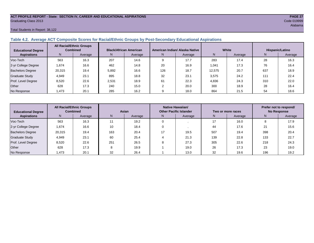#### **ACT PROFILE REPORT - State: SECTION IV, CAREER AND EDUCATIONAL ASPIRATIONS PAGE 27** Graduating Class 2013 Code 019999

#### Total Students in Report: 38,122

#### **Table 4.2. Average ACT Composite Scores for Racial/Ethnic Groups by Post-Secondary Educational Aspirations**

| <b>Educational Degree</b> | <b>All Racial/Ethnic Groups</b><br><b>Combined</b> |         | <b>Black/African American</b> |         |     | American Indian/ Alaska Native |        | White   | Hispanic/Latino |         |  |
|---------------------------|----------------------------------------------------|---------|-------------------------------|---------|-----|--------------------------------|--------|---------|-----------------|---------|--|
| <b>Aspirations</b>        | N.                                                 | Average | N.                            | Average | N.  | Average                        | N      | Average | N               | Average |  |
| Voc-Tech                  | 563                                                | 16.3    | 207                           | 14.6    |     | 17.7                           | 283    | 17.4    | 28              | 16.3    |  |
| 2-yr College Degree       | 1.674                                              | 16.6    | 462                           | 14.8    | 20  | 16.9                           | 1.041  | 17.3    | 76              | 16.4    |  |
| <b>Bachelors Degree</b>   | 20.315                                             | 19.4    | 5.892                         | 16.6    | 126 | 18.7                           | 12.575 | 20.7    | 637             | 18.9    |  |
| <b>Graduate Study</b>     | 4,949                                              | 23.1    | 895                           | 18.8    | 32  | 23.1                           | 3,575  | 24.2    | 111             | 22.4    |  |
| Prof. Level Degree        | 8.520                                              | 22.6    | 2.531                         | 18.9    | 61  | 22.3                           | 4,836  | 24.3    | 310             | 22.0    |  |
| Other                     | 628                                                | 17.3    | 240                           | 15.0    |     | 20.0                           | 300    | 18.9    | 28              | 16.4    |  |
| No Response               | 1,473                                              | 20.1    | 285                           | 16.2    |     | 18.0                           | 864    | 21.5    | 54              | 18.6    |  |

| <b>Educational Degree</b> | <b>All Racial/Ethnic Groups</b><br><b>Combined</b> |         | Asian |         | Native Hawaiian/<br><b>Other Pacific Islander</b> |         | Two or more races |         | Prefer not to respond/<br><b>No Response</b> |         |  |
|---------------------------|----------------------------------------------------|---------|-------|---------|---------------------------------------------------|---------|-------------------|---------|----------------------------------------------|---------|--|
| <b>Aspirations</b>        | N <sub>1</sub>                                     | Average | N.    | Average | N.                                                | Average | N.                | Average | N                                            | Average |  |
| Voc-Tech                  | 563                                                | 16.3    | 11    | 19.2    |                                                   |         | 17                | 16.0    |                                              | 17.9    |  |
| 2-yr College Degree       | 1,674                                              | 16.6    | 10    | 18.4    |                                                   |         | 44                | 17.6    | 21                                           | 15.6    |  |
| <b>Bachelors Degree</b>   | 20,315                                             | 19.4    | 163   | 20.4    | 17                                                | 19.5    | 507               | 19.4    | 398                                          | 20.4    |  |
| <b>Graduate Study</b>     | 4,949                                              | 23.1    | 60    | 25.4    |                                                   | 21.3    | 139               | 22.8    | 133                                          | 22.7    |  |
| Prof. Level Degree        | 8,520                                              | 22.6    | 251   | 26.5    |                                                   | 27.3    | 305               | 22.6    | 218                                          | 24.3    |  |
| Other                     | 628                                                | 17.3    |       | 19.9    |                                                   | 19.0    | 26                | 17.3    | 23                                           | 19.0    |  |
| No Response               | .473                                               | 20.1    | 32    | 26.4    |                                                   | 13.0    | 32                | 19.6    | 196                                          | 19.2    |  |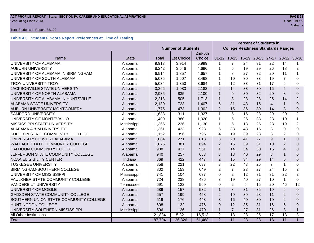#### **ACT PROFILE REPORT - State: SECTION IV, CAREER AND EDUCATIONAL ASPIRATIONS PAGE 28 Graduating Class 2013** Code 019999

#### Total Students in Report: 38,122

### **Table 4.3. Students' Score Report Preferences at Time of Testing**

|                                        |              |                           |            |                                           | <b>Percent of Students in</b> |                 |                 |                 |                 |                |                |
|----------------------------------------|--------------|---------------------------|------------|-------------------------------------------|-------------------------------|-----------------|-----------------|-----------------|-----------------|----------------|----------------|
|                                        |              | <b>Number of Students</b> |            | <b>College Readiness Standards Ranges</b> |                               |                 |                 |                 |                 |                |                |
|                                        |              |                           |            | 2nd-6th                                   |                               |                 |                 |                 |                 |                |                |
| Name                                   | <b>State</b> | Total                     | 1st Choice | Choice                                    | $01 - 12$                     |                 | $13 - 15$ 16-19 | $20 - 23$       | 24-27           | $28-32$        | 33-36          |
| UNIVERSITY OF ALABAMA                  | Alabama      | 9,913                     | 3,914      | 5,999                                     | $\mathbf{1}$                  | $\overline{7}$  | 24              | 31              | 22              | 14             | 1              |
| <b>AUBURN UNIVERSITY</b>               | Alabama      | 8,242                     | 3,546      | 4,696                                     | 1                             | 5               | 19              | 29              | 26              | 18             | $\overline{2}$ |
| UNIVERSITY OF ALABAMA IN BIRMINGHAM    | Alabama      | 6,514                     | 1,857      | 4,657                                     | 1                             | 8               | 27              | 32              | 20              | 11             | 1              |
| UNIVERSITY OF SOUTH ALABAMA            | Alabama      | 5,075                     | 1,607      | 3,468                                     | 1                             | 10              | 30              | 33              | 19              | $\overline{7}$ | 0              |
| <b>TROY UNIVERSITY-TROY</b>            | Alabama      | 5,034                     | 1,350      | 3,684                                     | $\mathbf{1}$                  | 12              | 33              | 31              | 17              | 6              | 0              |
| JACKSONVILLE STATE UNIVERSITY          | Alabama      | 3,266                     | 1,083      | 2,183                                     | $\overline{2}$                | 14              | 33              | 30              | 16              | 5              | $\Omega$       |
| UNIVERSITY OF NORTH ALABAMA            | Alabama      | 2,935                     | 835        | 2,100                                     | $\mathbf{1}$                  | 9               | 30              | 32              | 20              | 8              | $\Omega$       |
| UNIVERSITY OF ALABAMA IN HUNTSVILLE    | Alabama      | 2,218                     | 505        | 1,713                                     | $\mathbf{1}$                  | 8               | 23              | 28              | 25              | 14             | $\overline{2}$ |
| ALABAMA STATE UNIVERSITY               | Alabama      | 2,130                     | 723        | 1,407                                     | 6                             | 31              | 43              | 15              | $\overline{4}$  |                | $\Omega$       |
| AUBURN UNIVERSITY MONTGOMERY           | Alabama      | 1,775                     | 473        | 1,302                                     | $\overline{2}$                | 15              | 36              | 30              | 14              | 3              | 0              |
| <b>SAMFORD UNIVERSITY</b>              | Alabama      | 1,638                     | 311        | 1,327                                     | $\mathbf{1}$                  | 5               | 16              | 28              | 29              | 20             | $\overline{2}$ |
| UNIVERSITY OF MONTEVALLO               | Alabama      | 1,400                     | 380        | 1,020                                     | 1                             | 6               | 26              | 33              | 23              | 10             | $\mathbf 1$    |
| MISSISSIPPI STATE UNIVERSITY           | Mississippi  | 1,366                     | 236        | 1,130                                     | $\mathbf{1}$                  | 6               | 18              | 26              | 28              | 19             | $\overline{2}$ |
| ALABAMA A & M UNIVERSITY               | Alabama      | 1,361                     | 433        | 928                                       | 6                             | 33              | 43              | 16              | 3               | $\Omega$       | $\Omega$       |
| SHELTON STATE COMMUNITY COLLEGE        | Alabama      | 1,152                     | 356        | 796                                       | 4                             | 19              | 39              | 28              | 8               | $\overline{2}$ | $\Omega$       |
| UNIVERSITY OF WEST ALABAMA             | Alabama      | 1,084                     | 271        | 813                                       | 3                             | 20              | 41              | 27              | 9               |                | $\overline{0}$ |
| <b>WALLACE STATE COMMUNITY COLLEGE</b> | Alabama      | 1,075                     | 381        | 694                                       | $\overline{2}$                | 15              | 39              | 31              | 10              | $\overline{2}$ | $\Omega$       |
| CALHOUN COMMUNITY COLLEGE              | Alabama      | 988                       | 437        | 551                                       | $\mathbf{1}$                  | 14              | 34              | 30              | 16              | $\overline{4}$ | 0              |
| JEFFERSON STATE COMMUNITY COLLEGE      | Alabama      | 940                       | 257        | 683                                       | 3                             | 18              | 40              | 29              | 8               |                | $\Omega$       |
| <b>NCAA ELIGIBILITY CENTER</b>         | Indiana      | 869                       | 422        | 447                                       | $\overline{2}$                | 15              | 34              | 29              | 14              | 6              | $\Omega$       |
| <b>TUSKEGEE UNIVERSITY</b>             | Alabama      | 858                       | 221        | 637                                       | 3                             | 22              | 43              | 25              | $\overline{7}$  | 1              | 0              |
| BIRMINGHAM-SOUTHERN COLLEGE            | Alabama      | 802                       | 153        | 649                                       | $\overline{2}$                | $\overline{7}$  | 23              | 27              | 24              | 15             | $\overline{2}$ |
| UNIVERSITY OF MISSISSIPPI              | Mississippi  | 741                       | 104        | 637                                       | $\Omega$                      | $\overline{2}$  | 12              | 31              | 31              | 22             | $\overline{2}$ |
| FAULKNER STATE COMMUNITY COLLEGE       | Alabama      | 724                       | 238        | 486                                       | 3                             | 19              | 40              | 27              | 10              |                | 0              |
| <b>VANDERBILT UNIVERSITY</b>           | Tennessee    | 691                       | 122        | 569                                       | 0                             | $\overline{2}$  | 5               | 15              | 20              | 46             | 12             |
| UNIVERSITY OF MOBILE                   | Alabama      | 689                       | 157        | 532                                       | $\mathbf{1}$                  | 8               | 31              | 35              | 19              | 6              | $\Omega$       |
| <b>GADSDEN STATE COMMUNITY COLLEGE</b> | Alabama      | 657                       | 199        | 458                                       | $\overline{2}$                | 19              | 39              | 28              | 11              | $\overline{2}$ | $\Omega$       |
| SOUTHERN UNION STATE COMMUNITY COLLEGE | Alabama      | 619                       | 176        | 443                                       | 3                             | 16              | 40              | 30              | 10              | $\overline{2}$ | $\Omega$       |
| <b>HUNTINGDON COLLEGE</b><br>Alabama   |              | 608                       | 132        | 476                                       | $\Omega$                      | 12              | 35              | 31              | 16              | 5              | $\Omega$       |
| UNIVERSITY SOUTHERN MISSISSIPPI        | Mississippi  | 596                       | 126        | 470                                       | $\mathbf{1}$                  | $\overline{7}$  | 27              | 31              | 26              | 8              | $\mathbf{1}$   |
| All Other Institutions                 |              | 21,834                    | 5,321      | 16,513                                    | $\overline{2}$                | 13              | 28              | 25              | 17              | 13             | 3              |
| Total                                  |              | 87,794                    | 26,326     | 61,468                                    | $\overline{2}$                | $\overline{11}$ | $\overline{28}$ | $\overline{28}$ | $\overline{18}$ | 11             | $\mathbf{1}$   |

Alabama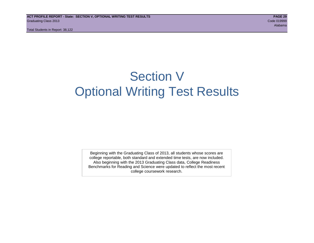Total Students in Report: 38,122

## Section V Optional Writing Test Results

Beginning with the Graduating Class of 2013, all students whose scores are college reportable, both standard and extended time tests, are now included. Also beginning with the 2013 Graduating Class data, College Readiness Benchmarks for Reading and Science were updated to reflect the most recent college coursework research.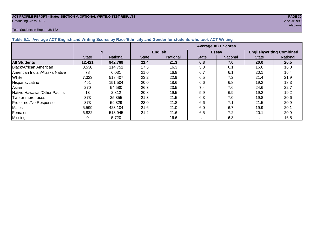## **ACT PROFILE REPORT - State: SECTION V, OPTIONAL WRITING TEST RESULTS PAGE 30** Graduating Class 2013 Code 019999

#### Total Students in Report: 38,122

|                                                                                                                  | Alabama                   |  |  |  |  |  |  |  |  |
|------------------------------------------------------------------------------------------------------------------|---------------------------|--|--|--|--|--|--|--|--|
| Total Students in Report: 38,122                                                                                 |                           |  |  |  |  |  |  |  |  |
|                                                                                                                  |                           |  |  |  |  |  |  |  |  |
| Table 5.1. Average ACT English and Writing Scores by Race/Ethnicity and Gender for students who took ACT Writing |                           |  |  |  |  |  |  |  |  |
|                                                                                                                  | <b>Average ACT Scores</b> |  |  |  |  |  |  |  |  |

| Table 5.1. Average ACT English and Writing Scores by Race/Ethnicity and Gender for students who took ACT Writing |              |                 |                           |                |              |                 |                                 |          |  |  |
|------------------------------------------------------------------------------------------------------------------|--------------|-----------------|---------------------------|----------------|--------------|-----------------|---------------------------------|----------|--|--|
|                                                                                                                  |              |                 | <b>Average ACT Scores</b> |                |              |                 |                                 |          |  |  |
|                                                                                                                  | N            |                 |                           | <b>English</b> |              | <b>Essay</b>    | <b>English/Writing Combined</b> |          |  |  |
|                                                                                                                  | <b>State</b> | <b>National</b> | <b>State</b>              | National       | <b>State</b> | <b>National</b> | <b>State</b>                    | National |  |  |
| <b>All Students</b>                                                                                              | 12,421       | 942,769         | 21.4                      | 21.3           | 6.3          | 7.0             | <b>20.0</b>                     | 20.5     |  |  |
| Black/African American                                                                                           | 3,530        | 114.751         | 17.5                      | 16.3           | 5.8          | 6.1             | 16.6                            | 16.0     |  |  |
| IAmerican Indian/Alaska Native                                                                                   | 78           | 6,031           | 21.0                      | 16.8           | 6.7          | 6.1             | 20.1                            | 16.4     |  |  |
| White                                                                                                            | 7,323        | 518,407         | 23.2                      | 22.9           | 6.5          | 7.2             | 21.4                            | 21.9     |  |  |
| Hispanic/Latino                                                                                                  | 461          | 151,504         | 20.0                      | 18.6           | 6.6          | 6.8             | 19.2                            | 18.3     |  |  |
| Asian                                                                                                            | 270          | 54,580          | 26.3                      | 23.5           | 7.4          | 7.6             | 24.6                            | 22.7     |  |  |
| Native Hawaiian/Other Pac. Isl.                                                                                  | 13           | 2,812           | 20.8                      | 19.5           | 5.9          | 6.9             | 19.2                            | 19.2     |  |  |
| Two or more races                                                                                                | 373          | 35,355          | 21.3                      | 21.5           | 6.3          | 7.0             | 19.8                            | 20.6     |  |  |
| Prefer not/No Response                                                                                           | 373          | 59,329          | 23.0                      | 21.8           | 6.6          | 7.1             | 21.5                            | 20.9     |  |  |
| <b>Males</b>                                                                                                     | 5,599        | 423,104         | 21.6                      | 21.0           | 6.0          | 6.7             | 19.9                            | 20.1     |  |  |
| Females                                                                                                          | 6,822        | 513,945         | 21.2                      | 21.6           | 6.5          | 7.2             | 20.1                            | 20.9     |  |  |
| <b>Missing</b>                                                                                                   | 0            | 5,720           |                           | 16.6           |              | 6.3             |                                 | 16.5     |  |  |